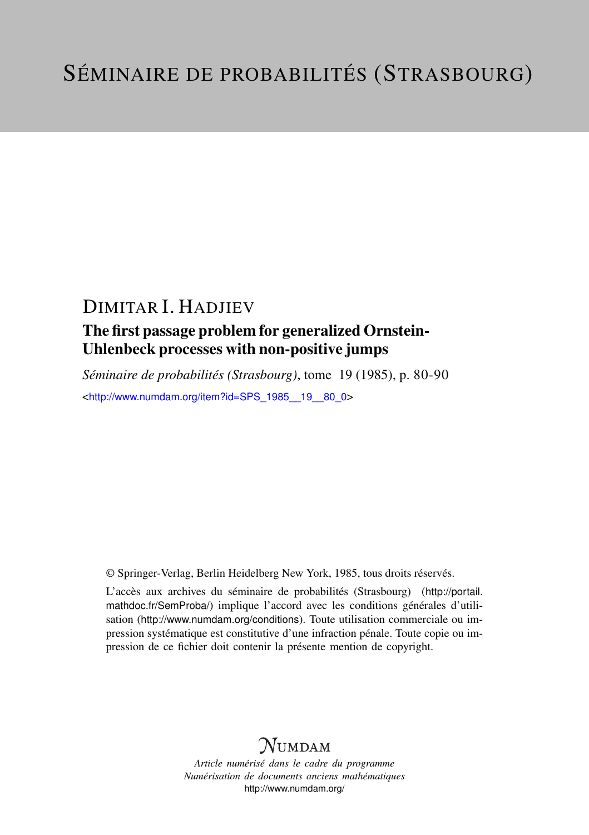## DIMITAR I. HADJIEV

### The first passage problem for generalized Ornstein-Uhlenbeck processes with non-positive jumps

*Séminaire de probabilités (Strasbourg)*, tome 19 (1985), p. 80-90 <[http://www.numdam.org/item?id=SPS\\_1985\\_\\_19\\_\\_80\\_0](http://www.numdam.org/item?id=SPS_1985__19__80_0)>

© Springer-Verlag, Berlin Heidelberg New York, 1985, tous droits réservés.

L'accès aux archives du séminaire de probabilités (Strasbourg) ([http://portail.](http://portail.mathdoc.fr/SemProba/) [mathdoc.fr/SemProba/](http://portail.mathdoc.fr/SemProba/)) implique l'accord avec les conditions générales d'utilisation (<http://www.numdam.org/conditions>). Toute utilisation commerciale ou impression systématique est constitutive d'une infraction pénale. Toute copie ou impression de ce fichier doit contenir la présente mention de copyright.

# **NUMDAM**

*Article numérisé dans le cadre du programme Numérisation de documents anciens mathématiques* <http://www.numdam.org/>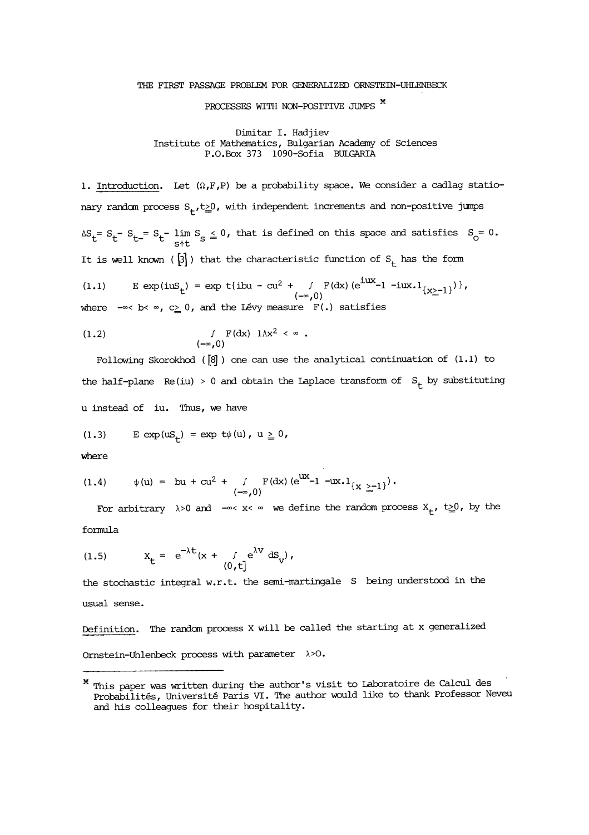#### THE FIRST PASSAGE PROBLEM FOR GENERALIZED ORNSTEIN-UHLENBECK

### PROCESSES WITH NON-POSITIVE JUMPS  $*$

Dimitar I. Hadjiev Institute of Mathematics, Bulgarian Academy of Sciences P.O.Box 373 1090-Sofia BULGARIA

1. Introduction. Let  $(\Omega, F, P)$  be a probability space. We consider a cadlag stationary random process  $S_t$ ,  $t \geq 0$ , with independent increments and non-positive jumps S<sub>t</sub>-S<sub>t-</sub>=S<sub>t</sub>-lim S<sub>S</sub>  $\leq$  0, that is defined on this space and satisfies S<sub>O</sub>= 0.<br>s<sup>4t</sup> It is well known ( $[3]$ ) that the characteristic function of  $S_t$  has the form

(1.1) 
$$
E \exp(i\omega S_t) = \exp t\{ibu - cu^2 + \int F(dx) (e^{i\omega x} - 1 - i\omega x \cdot 1_{\{X\geq -1\}})\},
$$

$$
(-\infty, 0)
$$
 where  $-\infty$  b  $\infty$ ,  $c \geq 0$ , and the Lévy measure  $F(.)$  satisfies

(1.2) 
$$
\int_{(-\infty,0)} F(dx) \ 1 \wedge x^2 < \infty \; .
$$

Following Skorokhod ([8] ) one can use the analytical continuation of (1.1) to the half-plane Re(iu) > 0 and obtain the Laplace transform of  $S_t$  by substituting u instead of iu. Thus, we have

$$
(1.3) \qquad \text{E} \, \exp(\mathrm{u} \mathsf{S}_\mathsf{t}) \, = \, \exp \, \mathrm{t} \psi(\mathsf{u}) \, , \ \mathsf{u} \, \geq \, 0 \, ,
$$

where

(1.4) 
$$
\psi(u) = bu + cu^2 + \int_{(-\infty,0)}^{\infty} F(dx) (e^{ux} - 1 - ux \cdot 1_{\{x \ge -1\}}).
$$

For arbitrary  $\lambda > 0$  and  $-\infty < x < \infty$  we define the random process  $X_+$ ,  $t \ge 0$ , by the

formula

(1.5) 
$$
X_{t} = e^{-\lambda t}(x + \int_{(0,t]} e^{\lambda v} dS_{v}),
$$

the stochastic integral w.r.t. the semi-martingale S being understood in the usual sense.

Definition. The random process X will be called the starting at x generalized Ornstein-Uhlenbeck process with parameter  $\lambda > 0$ .

<sup>\*</sup> This paper was written during the author's visit to Laboratoire de Calcul des Probabilites, Université Paris VI. The author would like to thank Professor Neveu and his colleagues for their hospitality.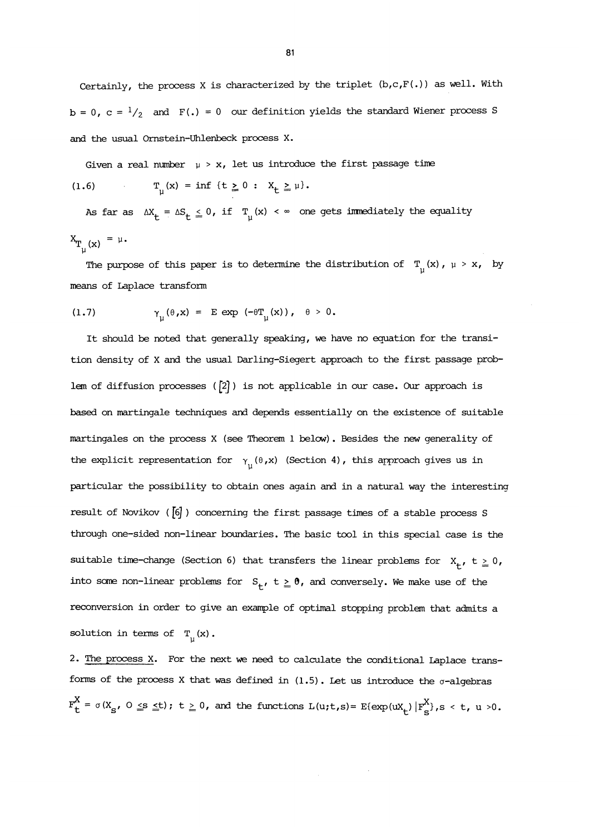Certainly, the process X is characterized by the triplet  $(b, c, F(.))$  as well. With  $b = 0$ ,  $c = \frac{1}{2}$  and  $F(.) = 0$  our definition yields the standard Wiener process S and the usual Omstein-Uhlenbeck process X.

Given a real number  $\mu > x$ , let us introduce the first passage time (1.6)  $T_{11}(x) = inf \{t \ge 0 : X_t \ge \mu\}.$ 

As far as  $\Delta X_t = \Delta S_t \leq 0$ , if  $T_1(x) < \infty$  one gets immediately the equality  $X_{T_{u}(x)} = \mu$ .

The purpose of this paper is to determine the distribution of  $T_{\mu}(x)$ ,  $\mu > x$ , by means of Laplace transform

(1.7) 
$$
\gamma_{\mu}(\theta, x) = E \exp(-\theta T_{\mu}(x)), \quad \theta > 0.
$$

It should be noted that generally speaking, we have no equation for the transition density of X and the usual Darling-Siegert approach to the first passage problem of diffusion processes ( $[2]$ ) is not applicable in our case. Our approach is based on martingale techniques and depends essentially on the existence of suitable martingales on the process X (see Theorem 1 belcw). Besides the new generality of the explicit representation for  $\gamma_{\text{H}}(\theta, x)$  (Section 4), this approach gives us in particular the possibility to obtain ones again and in a natural way the interesting result of Novikov ( $\overline{6}$ ) concerning the first passage times of a stable process S through one-sided non-linear boundaries. The basic tool in this special case is the suitable time-change (Section 6) that transfers the linear problems for  $X_t$ ,  $t \ge 0$ , into some non-linear problems for  $S_t$ ,  $t \ge 0$ , and conversely. We make use of the reconversion in order to give an example of optimal stopping problem that admits a solution in terms of  $T_{ij}(x)$ .

2. The process X. For the next we need to calculate the conditional Laplace transforms of the process X that was defined in  $(1.5)$ . Let us introduce the  $\sigma$ -algebras  $F_t^X = \sigma(X_s, 0 \leq s \leq t); t \geq 0$ , and the functions  $L(u,t,s) = E(\exp(uX_t) | F_s^X|, s < t, u > 0$ .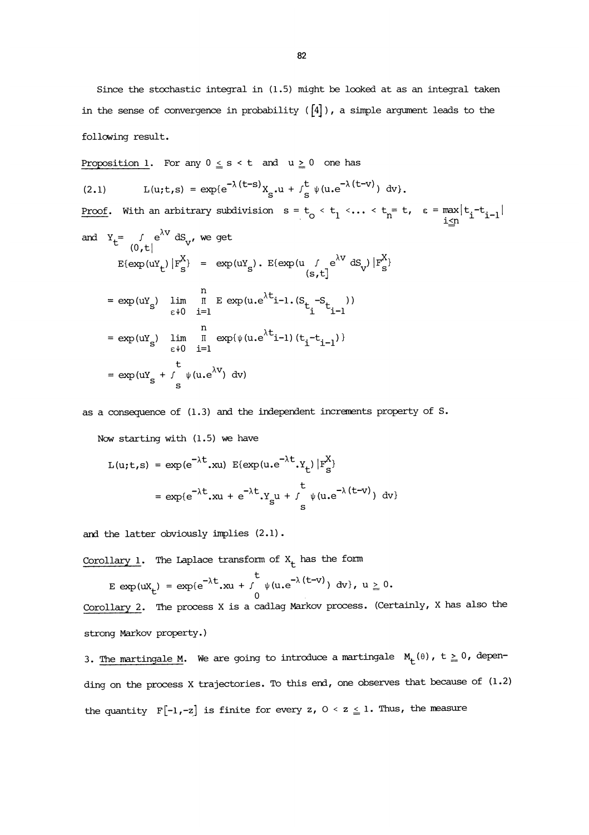Since the stochastic integral in (1.5) might be looked at as an integral taken in the sense of convergence in probability  $([4])$ , a simple argument leads to the following result.

Proposition 1. For any  $0 \leq s < t$  and  $u \geq 0$  one has

(2.1)  $L(u;t,s) = \exp\{e^{-\lambda(t-s)}X_{s}u + \int_{s}^{t} \psi(u,e^{-\lambda(t-v)}) dv\}.$ 

<u>Proof</u>. With an arbitrary subdivision  $s = t_0 < t_1 < ... < t_n = t$ ,  $\epsilon = \max_{i \leq n} |t_i - t_{i-1}|$ and  $Y_t = \int e^{\lambda V} dS_V$ , we get  $(0, t]$  $\mathbb{E} \left[ \exp(uY_t) \left| F_S^X \right| \right] = \exp(uY_s) \cdot \mathbb{E} \left[ \exp(u \int_{(S_t, t]} e^{\lambda V} dS_v \right] \left| F_S^X \right]$ 

$$
= \exp(uY_s) \lim_{\epsilon \downarrow 0} \prod_{i=1}^{n} E \exp(u \cdot e^{\lambda t} i - 1 \cdot (S_{t_i} - S_{t_{i-1}}))
$$
  

$$
= \exp(uY_s) \lim_{\epsilon \downarrow 0} \prod_{i=1}^{n} \exp(\psi(u \cdot e^{\lambda t} i - 1) (t_i - t_{i-1}))
$$
  

$$
= \exp(uY_s + \int_{s}^{t} \psi(u \cdot e^{\lambda V}) dv)
$$

as a consequence of (1.3) and the independent increments property of S.

Now starting with (1.5) we have

$$
L(u;t,s) = \exp(e^{-\lambda t}.xu) E\{\exp(u \cdot e^{-\lambda t}.y_t) | F_s^X\}
$$
  
=  $\exp\{e^{-\lambda t}.xu + e^{-\lambda t}.y_su + \int_s^t \psi(u \cdot e^{-\lambda (t-v)}) dv\}$ 

and the latter obviously implies (2.1).

Corollary 1. The Laplace transform of  $X_t$  has the form

$$
E \exp(ux_t) = \exp(e^{-\lambda t} .xu + \int_0^t \psi(u.e^{-\lambda (t-v)}) dv, u \ge 0.
$$

Corollary 2. The process X is a cadlag Markov process. (Certainly, X has also the strong Markov property.)

3. The martingale M. We are going to introduce a martingale  $M_{t}(\theta)$ ,  $t \geq 0$ , depending on the process X trajectories. To this end, one observes that because of (1.2) the quantity  $F[-1,-z]$  is finite for every z,  $0 < z \leq 1$ . Thus, the measure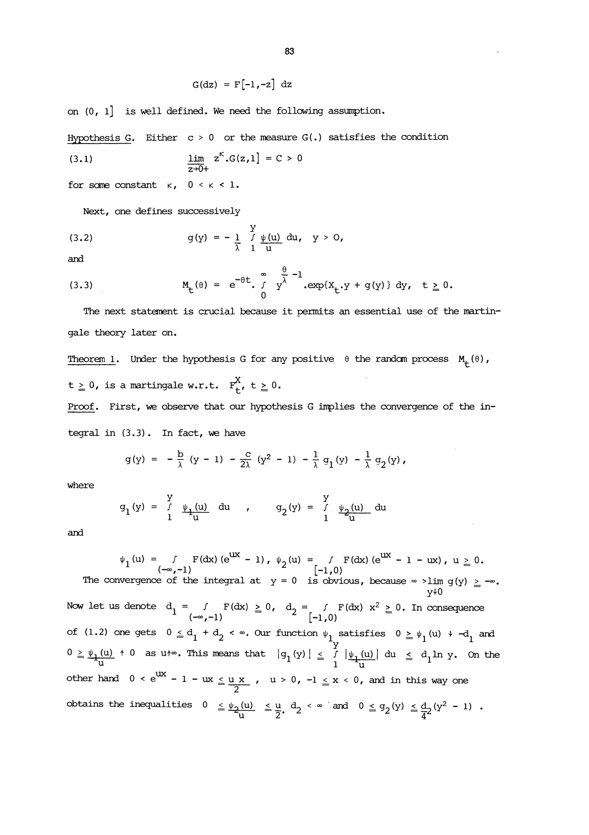$$
G(dz) = F[-1, -z] dz
$$

on (0, 1] is well defined. We need the following assumption.

Hypothesis G. Either  $c > 0$  or the measure  $G(.)$  satisfies the condition

(3.1) 
$$
\frac{\lim}{z \to 0+} z^{k} . G(z, 1) = C > 0
$$

for some constant  $\kappa$ ,  $0 < \kappa < 1$ .

Next, one defines successively

(3.2) 
$$
g(y) = -\frac{1}{\lambda} \int_{1}^{y} \frac{\psi(u)}{u} du, \quad y > 0,
$$

and

(3.3) 
$$
M_{t}(\theta) = e^{-\theta t} \int_{0}^{\infty} y^{\frac{\theta}{\lambda}} - 1 \exp\{X_{t} \cdot y + g(y)\} dy, \quad t \ge 0.
$$

The next statement is crucial because it permits an essential use of the martingale theory later on.

Theorem 1. Under the hypothesis G for any positive  $\theta$  the random process  $M_{+}(\theta)$ ,  $\mathtt{t}\geq 0\text{, is a martingale w.r.t. }\mathbb{F}_{\mathtt{t}}^{X}\text{, } \mathtt{t}\geq 0\text{.}$ 

Proof. First, we observe that our hypothesis G implies the convergence of the integral in  $(3.3)$ . In fact, we have

$$
g(y) = -\frac{b}{\lambda} (y - 1) - \frac{c}{2\lambda} (y^2 - 1) - \frac{1}{\lambda} g_1(y) - \frac{1}{\lambda} g_2(y),
$$

where

$$
g_1(y) = \int_{1}^{y} \psi_1(u) \ du
$$
,  $g_2(y) = \int_{1}^{y} \psi_2(u) \ du$ 

and

$$
\psi_1(u) = f F(dx) (e^{uX} - 1), \psi_2(u) = f F(dx) (e^{uX} - 1 - ux), u \ge 0.
$$
\n
$$
(-\infty, -1)
$$
\nThe convergence of the integral at  $y = 0$  is obvious, because  $\infty$   $\sim \lim_{y \to 0} g(y) \ge -\infty$ .  
\nNow let us denote  $d_1 = f F(dx) \ge 0$ ,  $d_2 = f F(dx) x^2 \ge 0$ . In consequence\n
$$
(-\infty, -1)
$$
\nof (1.2) one gets  $0 \le d_1 + d_2 < \infty$ . Our function  $\psi_1$  satisfies  $0 \ge \psi_1(u) + -d_1$  and\n
$$
0 \ge \psi_1(u) + 0
$$
\nas  $u \leftrightarrow \infty$ . This means that  $|g_1(y)| \le f |\psi_1(u)| du \le d_1 \ln y$ . On the other hand,  $0 < e^{uX} - 1 - ux \le \frac{u}{2}$ ,  $u > 0$ ,  $-1 \le x < 0$ , and in this way one obtains the inequalities  $0 \le \psi_2(u) \le \frac{u}{u} \le \frac{u}{2}$ ,  $d_2 < \infty$  and  $0 \le g_2(y) \le \frac{d}{4}2(y^2 - 1)$ .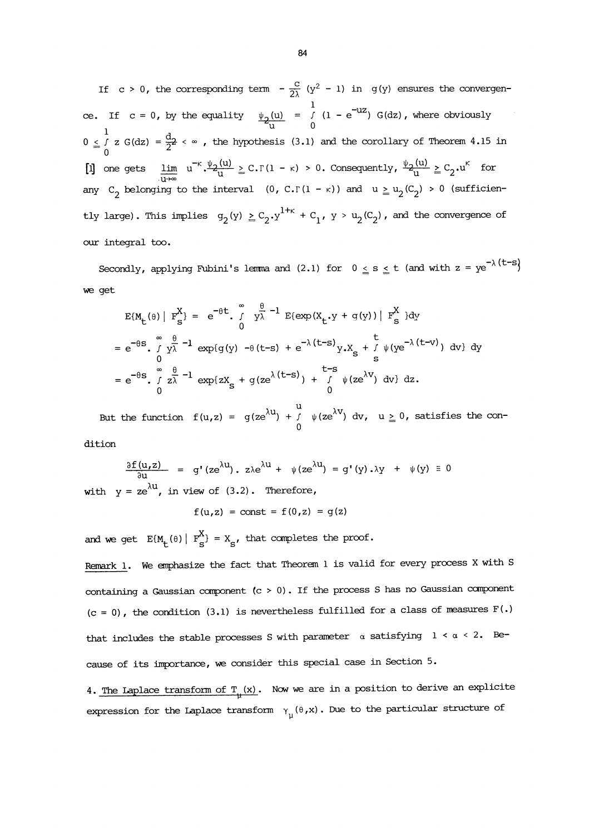If c > 0, the corresponding term  $-\frac{c}{2\lambda}$  (y<sup>2</sup> - 1) in g(y) ensures the convergence. If  $c = 0$ , by the equality  $\frac{\psi_2(u)}{u} = \int (1 - e^{-u^2}) G(dz)$ , where obviously  $0 \leq \frac{1}{2}$  z G(dz) =  $\frac{d}{2}$  <  $\infty$  , the hypothesis (3.1) and the corollary of Theorem 4.15 in  $=$   $\frac{1}{0}$   $\frac{1}{2}$ [i] one gets  $\lim_{u \to \infty} u^{-k} \cdot \frac{\psi_2(u)}{u} \geq C \cdot \Gamma(1 - \kappa) > 0$ . Consequently,  $\frac{\psi_2(u)}{u} \geq C_2 \cdot u^k$  for any  $C_2$  belonging to the interval  $(0, C.\Gamma(1 - \kappa))$  and  $u \ge u_2(C_2) > 0$  (sufficiently large). This implies  $g_2(y) \geq C_2 \cdot y^{1+\kappa} + C_1$ ,  $y > u_2(C_2)$ , and the convergence of our integral too.

Secondly, applying Fubini's lemma and (2.1) for  $0 \le s \le t$  (and with  $z = ye^{-\lambda(t-s)}$ ) we get

$$
E\{M_{t}(\theta) \mid F_{s}^{X}\} = e^{-\theta t} \int_{0}^{\infty} y_{\lambda}^{\frac{\theta}{2}} - 1 E\{\exp(X_{t} \cdot y + g(y)) \mid F_{s}^{X}\} dy
$$
  
\n
$$
= e^{-\theta s} \int_{0}^{\infty} y_{\lambda}^{\frac{\theta}{2}} - 1 \exp(g(y) - \theta(t-s) + e^{-\lambda(t-s)} y_{\lambda} X_{s} + \int_{s}^{t} \psi(y e^{-\lambda(t-v)}) dv\} dy
$$
  
\n
$$
= e^{-\theta s} \int_{0}^{\infty} z_{\lambda}^{\frac{\theta}{2}} - 1 \exp\{z X_{s} + g(z e^{\lambda(t-s)}) + \int_{0}^{t-s} \psi(ze^{\lambda v}) dv\} dz.
$$

But the function  $f(u,z) = g(ze^{\lambda u}) + f \psi(ze^{\lambda v}) dv$ ,  $u \ge 0$ , satisfies the con-

dition

$$
\frac{\partial f(u,z)}{\partial u} = g'(ze^{\lambda u}), \quad z\lambda e^{\lambda u} + \psi(ze^{\lambda u}) = g'(y).\lambda y + \psi(y) \equiv 0
$$
\nwith  $y = ze^{\lambda u}$ , in view of (3.2). Therefore,

$$
f(u,z) = const = f(0,z) = g(z)
$$

and we get  $E\{M_t(\theta) | F_s^X\} = X_s$ , that completes the proof.

Remark 1. We emphasize the fact that Theorem 1 is valid for every process X with S containing a Gaussian component  $(c > 0)$ . If the process S has no Gaussian component  $(c = 0)$ , the condition  $(3.1)$  is nevertheless fulfilled for a class of measures  $F(.)$ that includes the stable processes S with parameter  $\alpha$  satisfying  $1 < \alpha < 2$ . Because of its importance, we consider this special case in Section 5.

4. The Laplace transform of  $T_{+}(x)$ . Now we are in a position to derive an explicite expression for the Laplace transform  $\gamma_{\mu}(\theta, x)$ . Due to the particular structure of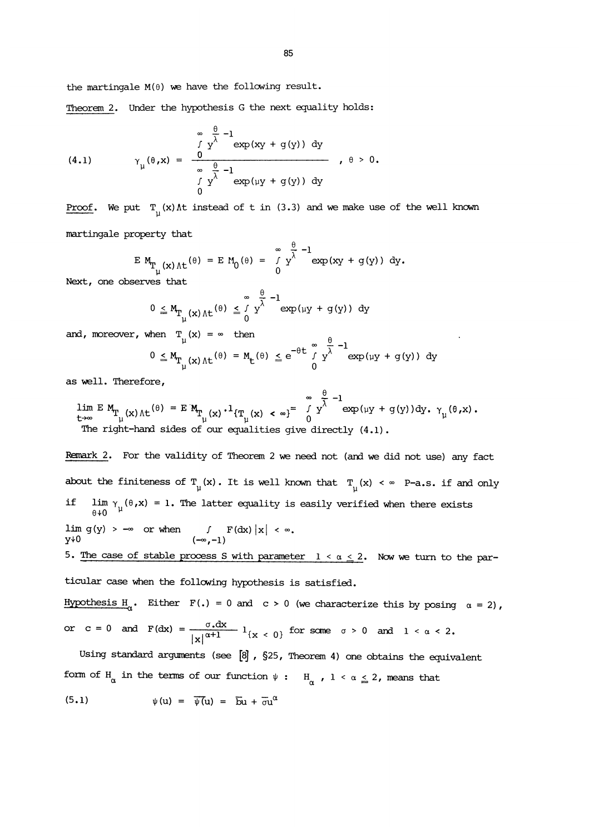the martingale  $M(\theta)$  we have the following result.

Theorem 2. Under the hypothesis G the next equality holds:

(4.1) 
$$
\gamma_{\mu}(\theta, x) = \frac{\int_{0}^{\infty} \frac{\theta}{y^{\lambda}} - 1 \exp(xy + g(y)) dy}{\int_{0}^{\infty} \frac{\theta}{y^{\lambda}} - 1 \exp(\mu y + g(y)) dy}, \quad \theta > 0.
$$

Proof. We put  $T_{\text{u}}(x)$  At instead of t in (3.3) and we make use of the well known martingale property that

$$
E M_{T_{\mu}(x) \Lambda t}(\theta) = E M_0(\theta) = \int_{0}^{\infty} \frac{\theta}{y} - 1 \exp(xy + g(y)) dy.
$$

Next, one observes that

$$
0 \leq M_{T_{\mu}(x) \Lambda t}(\theta) \leq \int_{0}^{\infty} y^{\frac{\theta}{\lambda} - 1} \exp(\mu y + g(y)) \, dy
$$

and, moreover, when  $T_{ij}(x) = \infty$  then

$$
0 \leq M_{\Gamma_{\mu}(x) \Lambda t}(\theta) = M_{t}(\theta) \leq e^{-\theta t} \int_{0}^{\infty} y^{\lambda} \exp(i y + g(y)) dy
$$

as well. Therefore,

 $\lim_{t\to\infty}\mathbb{E}\,\mathop{\mathbf{M}_{T}}\limits_{\mu}(x)\,\wedge t^{\,(\theta)}\,=\,\mathbb{E}\,\mathop{\mathbf{M}_{T}}\limits_{\mu}(x)\,\cdot\,1_{\{T_{\mu}(x)\,\,<\,\,\infty\}}=\,\int\limits_{0}^{\infty}\,\int\limits_{0}^{\theta}\, -1\exp(\mu y\,+\,g(y))\,\mathrm{d}y\,,\,\,\gamma_{\mu}(\theta\,,x)\,\,.$ The right-hand sides of our equalities give directly (4.1).

Remark 2. For the validity of Theorem 2 we need not (and we did not use) any fact about the finiteness of  $T_u(x)$ . It is well known that  $T_u(x) \leq \infty$  P-a.s. if and only if  $\lim_{y \to 0} \gamma_y(\theta, x) = 1$ . The latter equality is easily verified when there exists lim g(y) >  $-\infty$  or when f  $F(dx) |x| < \infty$ ,<br>y+0  $(-\infty, -1)$ 5. The case of stable process S with parameter  $1 < \alpha \leq 2$ . Now we turn to the particular case when the following hypothesis is satisfied.

Hypothesis H<sub>0</sub>. Either F(.) = 0 and c > 0 (we characterize this by posing  $\alpha = 2$ ), or c = 0 and  $F(dx) = \frac{\sigma .dx}{|x|^{\alpha+1}} 1_{\{x \le 0\}}$  for some  $\sigma > 0$  and  $1 < \alpha < 2$ .

Using standard arguments (see [8], §25, Theorem 4) one obtains the equivalent form of H<sub>a</sub> in the terms of our function  $\psi : H_{\alpha}$ ,  $1 < \alpha \leq 2$ , means that

$$
\psi(u) = \overline{\psi(u)} = \overline{b}u + \overline{\sigma}u^{\alpha}
$$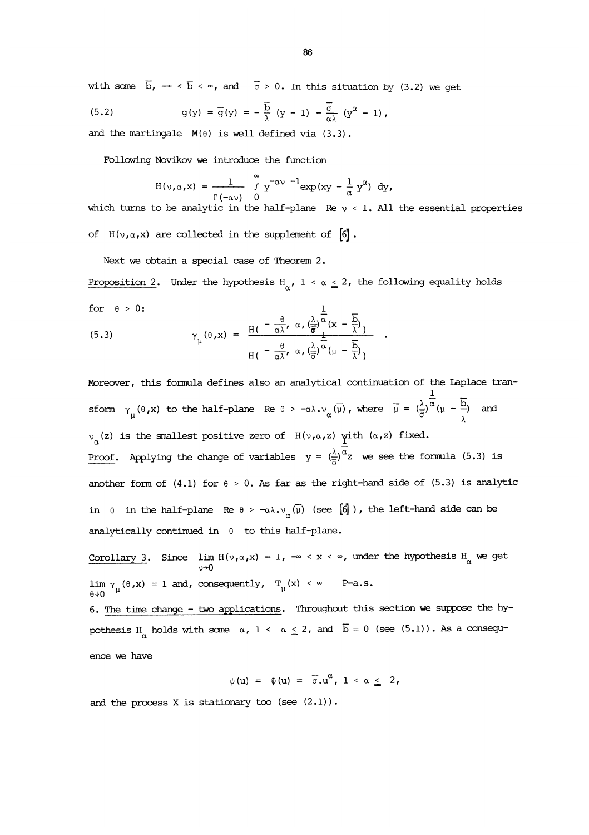with some  $\overline{b}$ ,  $-\infty < \overline{b} < \infty$ , and  $\overline{\sigma} > 0$ . In this situation by (3.2) we get

(5.2) 
$$
g(y) = \overline{g}(y) = -\frac{\overline{b}}{\lambda} (y-1) - \frac{\overline{\sigma}}{\alpha \lambda} (y^{\alpha} - 1),
$$

and the martingale  $M(\theta)$  is well defined via (3.3).

Following Novikov we introduce the function

Now know we introduce the function  
\n
$$
H(v,\alpha,x) = \frac{1}{r(-\alpha v)} \int_{0}^{\infty} y^{-\alpha v} d\alpha v dx + \int_{0}^{\infty} y^{-\alpha v} dx
$$

which turns to be analytic in the half-plane Re  $y < 1$ . All the essential properties of  $H(\nu,\alpha,X)$  are collected in the supplement of  $[6]$ .

Next we obtain a special case of Theorem 2.

Proposition 2. Under the hypothesis H<sub> $\alpha$ </sub>, 1 <  $\alpha \leq$  2, the following equality holds

for 
$$
\theta > 0
$$
:

\n(5.3)

\n
$$
\gamma_{\mu}(\theta, x) = \frac{H\left(-\frac{\theta}{\alpha \lambda}, \alpha, \left(\frac{\lambda}{\theta}\right)^{\frac{1}{\alpha}}(x - \frac{\overline{b}}{\lambda})\right)}{H\left(-\frac{\theta}{\alpha \lambda}, \alpha, \left(\frac{\lambda}{\theta}\right)^{\frac{1}{\alpha}}\left(\mu - \frac{\overline{b}}{\lambda}\right)\right)}.
$$

Moreover, this formula defines also an analytical continuation of the Laplace transform  $\gamma_{\mu}(\theta, x)$  to the half-plane Re  $\theta > -\alpha \lambda \cdot v_{\alpha}(\overline{\mu})$ , where  $\overline{\mu} = (\frac{\lambda}{\overline{\sigma}})^{\overline{\alpha}}(\mu - \frac{\overline{b}}{\lambda})$  and  $v_{\alpha}(z)$  is the smallest positive zero of  $H(\nu,\alpha,z)$  with  $(\alpha,z)$  fixed. <u>Proof</u>. Applying the change of variables  $y = (\frac{\lambda}{\overline{a}})^{\alpha}z$  we see the formula (5.3) is another form of (4.1) for  $\theta > 0$ . As far as the right-hand side of (5.3) is analytic in  $\theta$  in the half-plane Re  $\theta > -\alpha \lambda \cdot v_{\alpha}(\bar{\mu})$  (see  $[6]$ ), the left-hand side can be analytically continued in  $\theta$  to this half-plane.

Corollary 3. Since lim  $H(v, \alpha, x) = 1$ ,  $-\infty < x < \infty$ , under the hypothesis  $H_{\alpha}$  we get  $\lim_{u \to 0} \gamma_u(\theta, x) = 1$  and, consequently,  $T_u(x) < \infty$  P-a.s.

6. The time change - two applications. Throughout this section we suppose the hypothesis H<sub>a</sub> holds with some  $\alpha$ ,  $1 < \alpha \leq 2$ , and  $\overline{b} = 0$  (see (5.1)). As a consequence we have

$$
\psi(u) = \tilde{\psi}(u) = \overline{\sigma} u^{\alpha}, \quad 1 < \alpha \leq 2,
$$

and the process  $X$  is stationary too (see  $(2.1)$ ).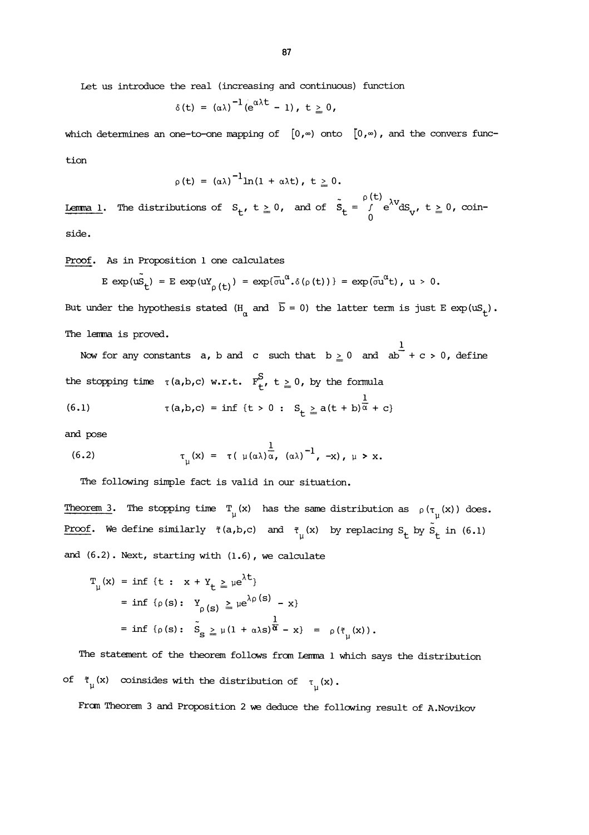Let us introduce the real (increasing and continuous) function

$$
\delta(t) = (\alpha \lambda)^{-1} (e^{\alpha \lambda t} - 1), t \geq 0,
$$

which determines an one-to-one mapping of  $[0, \infty)$  onto  $[0, \infty)$ , and the convers function

$$
\rho(t) = (\alpha \lambda)^{-1} \ln(1 + \alpha \lambda t), t \geq 0.
$$

**Lemma 1.** The distributions of  $S_t$ ,  $t \ge 0$ , and of  $\tilde{S}_t = \int_{0}^{\rho(t)} e^{\lambda V} dS_V$ ,  $t \ge 0$ , coinside.

Proof. As in Proposition 1 one calculates

$$
E \exp(u\tilde{S}_t) = E \exp(uY_{\rho(t)}) = \exp(\overline{\sigma}u^{\alpha}.\delta(\rho(t))) = \exp(\overline{\sigma}u^{\alpha}t), \quad u > 0.
$$

But under the hypothesis stated  $(H_a$  and  $\bar{b} = 0)$  the latter term is just E exp(uS<sub>t</sub>). The lemma is proved.

Now for any constants  $a$ ,  $b$  and  $c$  such that  $b \ge 0$  and  $ab + c > 0$ , define the stopping time  $\tau(a,b,c)$  w.r.t.  $F^S_{+}$ ,  $t \geq 0$ , by the formula

(6.1) 
$$
\tau(a,b,c) = \inf \{t > 0 : S_t \ge a(t+b)^{\frac{1}{\alpha}} + c \}
$$

and pose

(6.2) 
$$
\tau_{\mu}(x) = \tau (\mu(\alpha \lambda) \overline{\alpha}, (\alpha \lambda)^{-1}, -x), \mu > x.
$$

The following simple fact is valid in our situation.

Theorem 3. The stopping time  $T_u(x)$  has the same distribution as  $\rho(\tau_u(x))$  does. Proof. We define similarly  $\tilde{\tau}(a,b,c)$  and  $\tilde{\tau}_{u}(x)$  by replacing  $S_t$  by  $S_t$  in (6.1) and (6.2). Next, starting with (1.6), we calculate

$$
T_{\mu}(x) = \inf \{t : x + Y_t \ge \mu e^{\lambda t}\}
$$
  
=  $\inf \{ \rho(s) : Y_{\rho(s)} \ge \mu e^{\lambda \rho(s)} - x \}$   
=  $\inf \{ \rho(s) : \tilde{S}_s \ge \mu (1 + \alpha \lambda s) \overline{\alpha} - x \} = \rho(\tilde{\tau}_{\mu}(x)).$ 

The statement of the theorem follows from Lemma 1 which says the distribution of  $\tilde{\tau}_{\mu}(x)$  coinsides with the distribution of  $\tau_{\mu}(x)$ .

From Theorem 3 and Proposition 2 we deduce the following result of A.Novikov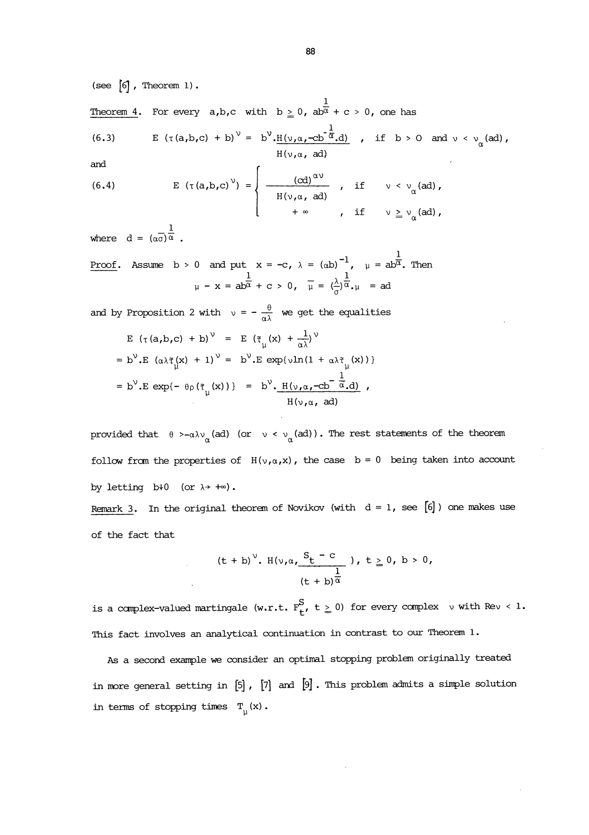(see  $[6]$ , Theorem 1).

Theorem 4. For every  $a,b,c$  with  $b \ge 0$ ,  $ab^{\frac{1}{\alpha}} + c > 0$ , one has

(6.3) 
$$
E (\tau(a,b,c) + b)^{\vee} = b^{\vee} \cdot \frac{H(\nu,a,-cb^{\frac{1}{\alpha}},d)}{H(\nu,a,ad)}, \text{ if } b > 0 \text{ and } \nu < \nu_{\alpha}(\text{ad}),
$$

and  
\n(6.4) 
$$
E(\tau(a,b,c)^{\nu}) = \begin{cases} \frac{(cd)^{\alpha\nu}}{H(\nu,\alpha, ad)}, & \text{if } \nu < \nu_{\alpha}(ad), \\ +\infty, & \text{if } \nu \geq \nu_{\alpha}(ad), \end{cases}
$$

where  $d = (\alpha \overline{\sigma}) \frac{1}{\alpha}$ 

where  $d = (\alpha \sigma)^\alpha$ .<br>
<u>Proof</u>. Assume  $b > 0$  and put  $x = -c$ ,  $\lambda = (\alpha b)^{-1}$ ,  $\mu = ab^{\overline{\alpha}}$ . Then<br>  $\mu - x = ab^{\overline{\alpha}} + c > 0$ ,  $\overline{\mu} = (\frac{\lambda}{\sigma})^{\frac{1}{\alpha}}$ ,  $\mu = ad$ 

and by Proposition 2 with  $v = -\frac{\theta}{\alpha \lambda}$  we get the equalities

$$
E (\tau(a,b,c) + b)^{\vee} = E (\tilde{\tau}_{\mu}(x) + \frac{1}{\alpha \lambda})^{\vee}
$$
  
\n
$$
= b^{\vee}.E (\alpha \lambda \tilde{\tau}_{\mu}(x) + 1)^{\vee} = b^{\vee}.E \exp\{\nu \ln(1 + \alpha \lambda \tilde{\tau}_{\mu}(x))\}
$$
  
\n
$$
= b^{\vee}.E \exp\{- \theta \rho (\tilde{\tau}_{\mu}(x))\} = b^{\vee}.H(\nu, \alpha, -cb^{-\frac{1}{\alpha}}, d)
$$
  
\n
$$
H(\nu, \alpha, ad)
$$

provided that  $\theta$  >- $\alpha \lambda v_{\alpha}$  (ad) (or  $v < v_{\alpha}$  (ad)). The rest statements of the theorem follow from the properties of  $H(\nu,\alpha,x)$ , the case  $b = 0$  being taken into account by letting  $b \nmid 0$  (or  $\lambda \rightarrow +\infty$ ).

Remark 3. In the original theorem of Novikov (with  $d = 1$ , see [6]) one makes use of the fact that

$$
(t + b)^{\nu}
$$
.  $H(\nu, \alpha, \frac{S_t - c}{t + b)^{\alpha}}$ ),  $t \ge 0, b > 0,$   
 $(t + b)^{\alpha}$ 

is a complex-valued martingale (w.r.t.  $F^S_{t'}$ ,  $t \geq 0$ ) for every complex v with Rev < 1. This fact involves an analytical continuation in contrast to our Theorem 1.

As a second example we consider an optimal stopping problem originally treated in more general setting in  $[5]$ ,  $[7]$  and  $[9]$ . This problem admits a simple solution in terms of stopping times  $\; {\bf T}_{_{\rm II}}(x)$  .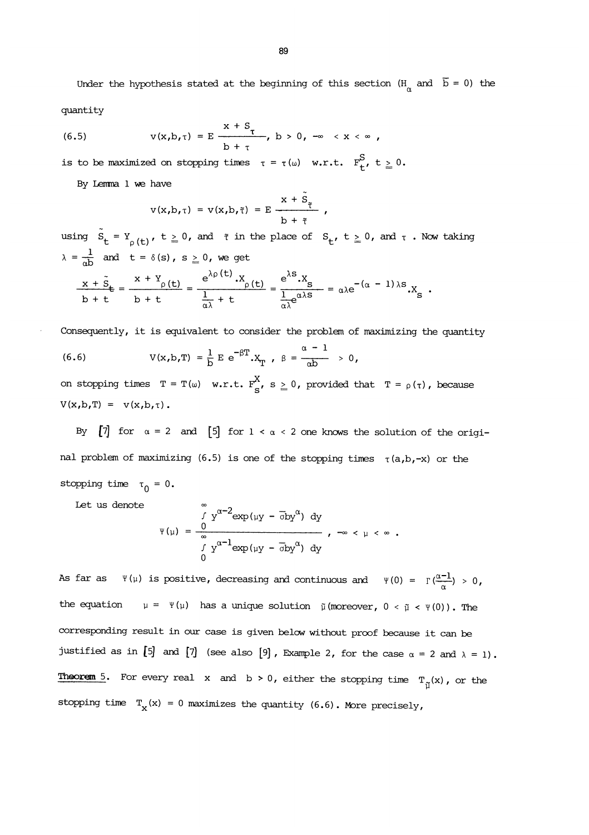quantity

Under the hypothesis stated at the beginning of this section (H<sub>α</sub> and 
$$
\bar{b} = 0
$$
) the quantity  
quantity  
(6.5)  $v(x,b,\tau) = E \frac{x + S_{\tau}}{b + \tau}$ ,  $b > 0$ ,  $-\infty < x < \infty$ ,

is to be maximized on stopping times  $\tau = \tau(\omega)$  w.r.t.  $F_{t}^{S}$ ,  $t \geq 0$ .

By Lemma 1 we have

$$
v(x,b,\tau) = v(x,b,\tilde{\tau}) = E \frac{x + S_{\tilde{\tau}}}{b + \tilde{\tau}},
$$

using  $\tilde{S}_t = Y_{\rho(t)}, t \ge 0$ , and  $\tilde{\tau}$  in the place of  $S_t$ ,  $t \ge 0$ , and  $\tau$ . Now taking  $\lambda = \frac{1}{\alpha b}$  and  $t = \delta(s)$ ,  $s \ge 0$ , we get

$$
\frac{x+\tilde{S}_\mathsf{t}}{b+\mathsf{t}} = \frac{x+Y_\rho(\mathsf{t})}{b+\mathsf{t}} = \frac{e^{\lambda\rho(\mathsf{t})} \cdot X_\rho(\mathsf{t})}{\frac{1}{\alpha\lambda}+\mathsf{t}} = \frac{e^{\lambda S} \cdot X_S}{\frac{1}{\alpha\lambda}e^{\alpha\lambda S}} = \alpha\lambda e^{-(\alpha-1)\lambda S} \cdot X_S.
$$

Consequently, it is equivalent to consider the problem of maximizing the quantity

(6.6) 
$$
V(x,b,T) = \frac{1}{b} E e^{-\beta T} x_T, \ \beta = \frac{\alpha - 1}{\alpha b} > 0,
$$

on stopping times  $T = T(\omega)$  w.r.t.  $F_S^X$ ,  $s \geq 0$ , provided that  $T = \rho(\tau)$ , because  $V(x,b,T) = V(x,b,\tau)$ .

By  $[7]$  for  $\alpha = 2$  and  $[5]$  for  $1 < \alpha < 2$  one knows the solution of the original problem of maximizing (6.5) is one of the stopping times  $\tau(a,b,-x)$  or the stopping time  $\tau_0 = 0$ .

Let us denote

$$
\Psi(\mu) = \frac{\int_{0}^{1} y^{\alpha - 2} \exp(i\psi - \overline{\phi}b y^{\alpha}) dy}{\int_{0}^{1} y^{\alpha - 1} \exp(i\psi - \overline{\phi}b y^{\alpha}) dy}, \quad -\infty < \mu < \infty.
$$

As far as  $\psi(\mu)$  is positive, decreasing and continuous and  $\psi(0) = \Gamma(\frac{\alpha-1}{\alpha}) > 0$ , the equation  $\mu = \Psi(\mu)$  has a unique solution  $\tilde{\mu}$  (moreover,  $0 < \tilde{\mu} < \Psi(0)$ ). The corresponding result in our case is given below without proof because it can be justified as in  $[5]$  and  $[7]$  (see also  $[9]$ , Example 2, for the case  $\alpha = 2$  and  $\lambda = 1$ ). **Theorem 5.** For every real x and  $b > 0$ , either the stopping time  $T_{n}(x)$ , or the stopping time  $T_{\text{x}}(x) = 0$  maximizes the quantity (6.6). More precisely,